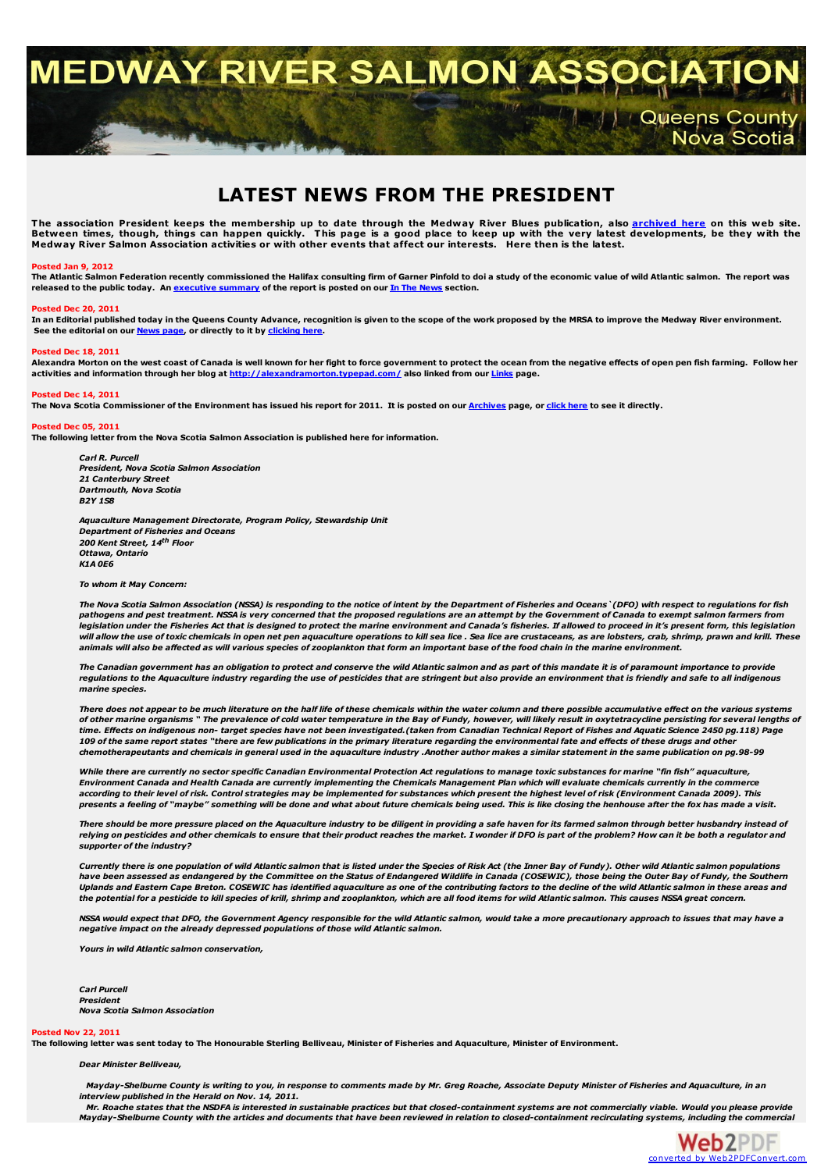# MEDWAY RIVER SALMON ASSOC

# **LATEST NEWS FROM THE PRESIDENT**

The association President keeps the membership up to date through the Medway River Blues publication, also <u>[archived](http://medwayriversalmonassociation.org/archives/archives.html) here</u> on this web site.<br>Between times, though, things can happen quickly. This page is a good place to ke

#### **Posted Jan 9, 2012**

The Atlantic Salmon Federation recently commissioned the Halifax consulting firm of Garner Pinfold to doi a study of the economic value of wild Atlantic salmon. The report was released to the public today. An [executive](http://medwayriversalmonassociation.org/news/02Jan2012exec-summary-gardner-pinfold.pdf) summary of the report is posted on our In The [News](http://medwayriversalmonassociation.org/news/inthenews.html) section.

#### **Posted Dec 20, 2011**

In an Editorial published today in the Queens County Advance, recognition is given to the scope of the work proposed by the MRSA to improve the Medway River environment. **See the editorial on our [News](http://medwayriversalmonassociation.org/news/inthenews.html) page, or directly to it by [clicking](http://medwayriversalmonassociation.org/news/Advance20Dec2011.pdf) here.**

#### **Posted Dec 18, 2011**

Alexandra Morton on the west coast of Canada is well known for her fight to force government to protect the ocean from the negative effects of open pen fish farming. Follow her activities and information through her blog a **activities and information through her blog at <http://alexandramorton.typepad.com/> also linked from our [Links](http://medwayriversalmonassociation.org/links/links.html) page.**

#### **Posted Dec 14, 2011**

The Nova Scotia Commissioner of the Environment has issued his report for 2011. It is posted on our [Archives](http://medwayriversalmonassociation.org/archives/archives.html) page, or [click](http://medwayriversalmonassociation.org/archives/CommissionerOfEnvironmentReport2011.pdf) here to see it directly.

#### **Posted Dec 05, 2011**

**The following letter from the Nova Scotia Salmon Association is published here for information.**

*Carl R. Purcell President, Nova Scotia Salmon Association 21 Canterbury Street Dartmouth, Nova Scotia B2Y 1S8*

*Aquaculture Management Directorate, Program Policy, Stewardship Unit Department of Fisheries and Oceans 200 Kent Street, 14 th Floor Ottawa, Ontario K1A 0E6*

*To whom it May Concern:*

The Nova Scotia Salmon Association (NSSA) is responding to the notice of intent by the Department of Fisheries and Oceans `(DFO) with respect to regulations for fish pathogens and pest treatment. NSSA is very concerned that the proposed regulations are an attempt by the Government of Canada to exempt salmon farmers from legislation under the Fisheries Act that is designed to protect the marine environment and Canada's fisheries. If allowed to proceed in it's present form, this legislation rand and the use of toxic chemicals in open net pen aquaculture operations to kill sea lice . Sea lice are crustaceans, as are lobsters, crab, shrimp, prawn and krill. These in the sea lice is an and krill. These in the se animals will also be affected as will various species of zooplankton that form an important base of the food chain in the marine environment.

The Canadian government has an obligation to protect and conserve the wild Atlantic salmon and as part of this mandate it is of paramount importance to provide regulations to the Aquaculture industry regarding the use of pesticides that are stringent but also provide an environment that is friendly and safe to all indigenous *marine species.*

There does not appear to be much literature on the half life of these chemicals within the water column and there possible accumulative effect on the various systems of other marine organisms " The prevalence of cold water temperature in the Bay of Fundy, however, will likely result in oxytetracycline persisting for several lengths of time. Effects on indigenous non-target species have not been investigated.(taken from Canadian Technical Report of Fishes and Aquatic Science 2450 pg.118) Page 109 of the same report states "there are few publications in the primary literature regarding the environmental fate and effects of these drugs and other chemotherapeutants and chemicals in general used in the aquaculture industry .Another author makes a similar statement in the same publication on pg.98-99

While there are currently no sector specific Canadian Environmental Protection Act regulations to manage toxic substances for marine "fin fish" aquaculture, Environment Canada and Health Canada are currently implementing the Chemicals Management Plan which will evaluate chemicals currently in the commerce according to their level of risk. Control strategies may be implemented for substances which present the highest level of risk (Environment Canada 2009). This presents a feeling of "maybe" something will be done and what about future chemicals being used. This is like closing the henhouse after the fox has made a visit.

There should be more pressure placed on the Aguaculture industry to be diligent in providing a safe haven for its farmed salmon through better husbandry instead of relying on pesticides and other chemicals to ensure that their product reaches the market. I wonder if DFO is part of the problem? How can it be both a regulator and *supporter of the industry?*

Currently there is one population of wild Atlantic salmon that is listed under the Species of Risk Act (the Inner Bay of Fundy). Other wild Atlantic salmon populations have been assessed as endangered by the Committee on the Status of Endangered Wildlife in Canada (COSEWIC), those being the Outer Bay of Fundy, the Southern Uplands and Eastern Cape Breton. COSEWIC has identified aguaculture as one of the contributing factors to the decline of the wild Atlantic salmon in these areas and the potential for a pesticide to kill species of krill, shrimp and zooplankton, which are all food items for wild Atlantic salmon. This causes NSSA great concern.

NSSA would expect that DFO, the Government Agency responsible for the wild Atlantic salmon, would take a more precautionary approach to issues that may have a *negative impact on the already depressed populations of those wild Atlantic salmon.*

*Yours in wild Atlantic salmon conservation,*

*Carl Purcell President Nova Scotia Salmon Association*

#### **Posted Nov 22, 2011**

The following letter was sent today to The Honourable Sterling Belliyeau, Minister of Fisheries and Aguaculture, Minister of Environment.

*Dear Minister Belliveau,*

Mayday-Shelburne County is writing to you, in response to comments made by Mr. Greg Roache, Associate Deputy Minister of Fisheries and Aquaculture, in an *interview published in the Herald on Nov. 14, 2011.*

Mr. Roache states that the NSDFA is interested in sustainable practices but that closed-containment systems are not commercially viable. Would you please provide Mayday-Shelburne County with the articles and documents that have been reviewed in relation to closed-containment recirculating systems, including the commercial



Queens County<br>Nova Scotia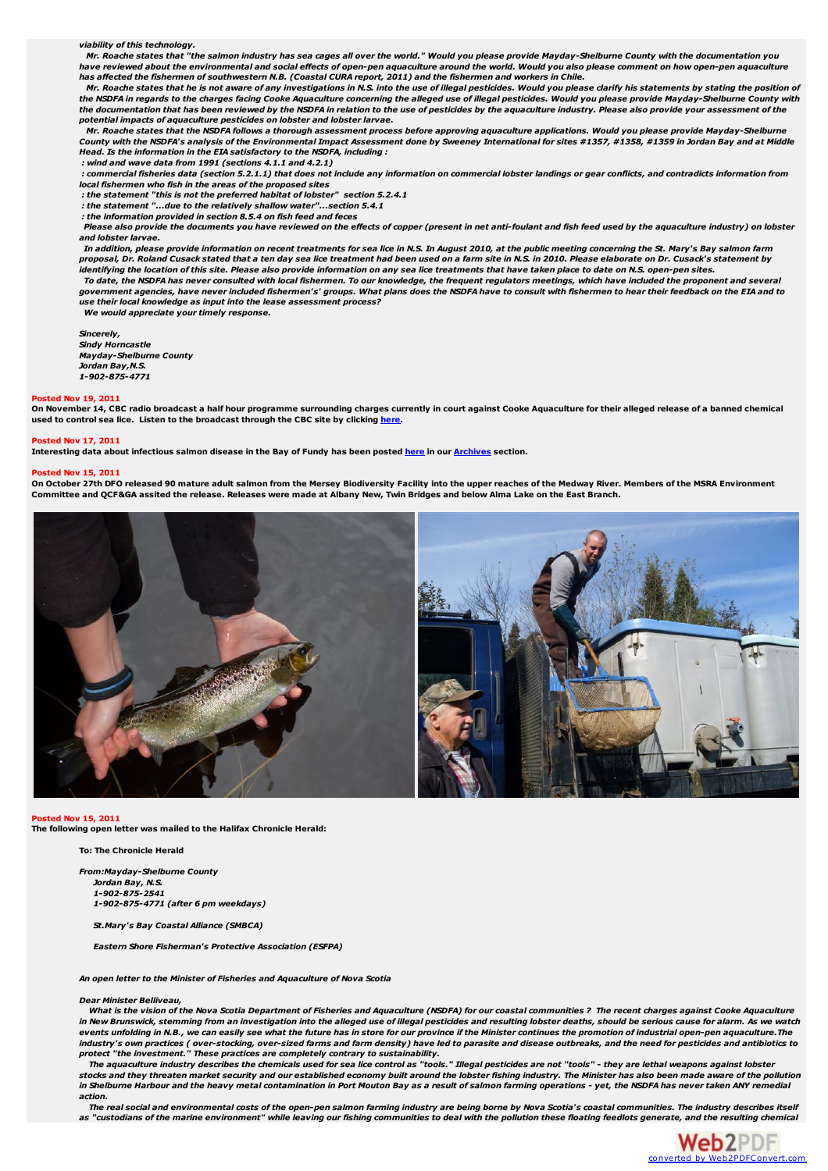*viability of this technology.*

Mr. Roache states that "the salmon industry has sea cages all over the world." Would you please provide Mayday-Shelburne County with the documentation you<br>have reviewed about the environmental and social effects of open-pe has affected the fishermen of southwestern N.B. (Coastal CURA report, 2011) and the fishermen and workers in Chile.

Mr. Roache states that he is not aware of any investigations in N.S. into the use of illegal pesticides. Would you please clarify his statements by stating the position of the NSDFA in regards to the charges facing Cooke Aquaculture concerning the alleged use of illegal pesticides. Would you please provide Mayday-Shelburne County with the documentation that has been reviewed by the NSDFA in relation to the use of pesticides by the aquaculture industry. Please also provide your assessment of the *potential impacts of aquaculture pesticides on lobster and lobster larvae.*

Mr. Roache states that the NSDFA follows a thorough assessment process before approving aquaculture applications. Would you please provide Mayday-Shelburne County with the NSDFA's analysis of the Environmental Impact Assessment done by Sweeney International for sites #1357, #1358, #1359 in Jordan Bay and at Middle *Head. Is the information in the EIA satisfactory to the NSDFA, including :*

*: wind and wave data from 1991 (sections 4.1.1 and 4.2.1)*

: commercial fisheries data (section 5.2.1.1) that does not include any information on commercial lobster landings or gear conflicts, and contradicts information from *local fishermen who fish in the areas of the proposed sites*

*: the statement "this is not the preferred habitat of lobster" section 5.2.4.1*

*: the statement "...due to the relatively shallow water"...section 5.4.1*

*: the information provided in section 8.5.4 on fish feed and feces* Please also provide the documents you have reviewed on the effects of copper (present in net anti-foulant and fish feed used by the aquaculture industry) on lobster

*and lobster larvae.*

In addition, please provide information on recent treatments for sea lice in N.S. In August 2010, at the public meeting concerning the St. Mary's Bay salmon farm proposal, Dr. Roland Cusack stated that a ten day sea lice treatment had been used on a farm site in N.S. in 2010. Please elaborate on Dr. Cusack's statement bv

.<br>Identifying the location of this site. Please also provide information on any sea lice treatments that have taken place to date on N.S. open-pen sites.

To date, the NSDFA has never consulted with local fishermen. To our knowledge, the frequent regulators meetings, which have included the proponent and s government agencies, have never included fishermen's' groups. What plans does the NSDFA have to consult with fishermen to hear their feedback on the EIA and to *use their local knowledge as input into the lease assessment process?*

*We would appreciate your timely response.*

*Sincerely, Sindy Horncastle Mayday-Shelburne County Jordan Bay,N.S. 1-902-875-4771*

#### **Posted Nov 19, 2011**

On November 14, CBC radio broadcast a half hour programme surrounding charges currently in court against Cooke Aquaculture for their alleged release of a banned chemical **used to control sea lice. Listen to the broadcast through the CBC site by clicking [here](http://www.cbc.ca/fisheriesbroadcast/episodes/2011/11/14/another-concern-about-aquaculture/).**

# **Posted Nov 17, 2011**

Interesting data about infectious salmon disease in the Bay of Fundy has been posted [here](http://medwayriversalmonassociation.org/archives/Disease_Data_New_Brunswick.pdf) in our [Archives](http://medwayriversalmonassociation.org/archives/archives.html) section.

# **Posted Nov 15, 2011**

On October 27th DFO released 90 mature adult salmon from the Mersey Biodiversity Facility into the upper reaches of the Medway River. Members of the MSRA Environment Committee and QCF&GA assited the release. Releases were made at Albany New, Twin Bridges and below Alma Lake on the East Branch.



#### **Posted Nov 15, 2011**

**The following open letter was mailed to the Halifax Chronicle Herald:**

#### **To: The Chronicle Herald**

*From:Mayday-Shelburne County Jordan Bay, N.S. 1-902-875-2541 1-902-875-4771 (after 6 pm weekdays)*

*St.Mary's Bay Coastal Alliance (SMBCA)*

*Eastern Shore Fisherman's Protective Association (ESFPA)*

*An open letter to the Minister of Fisheries and Aquaculture of Nova Scotia*

#### *Dear Minister Belliveau,*

.<br>What is the vision of the Nova Scotia Department of Fisheries and Aquaculture (NSDFA) for our coastal communities ? The recent charges against Cooke Aquaculture in New Brunswick, stemming from an investigation into the alleged use of illegal pesticides and resulting lobster deaths, should be serious cause for alarm. As we watch events unfolding in N.B., we can easily see what the future has in store for our province if the Minister continues the promotion of industrial open-pen aquaculture. The industry's own practices (over-stocking, over-sized farms and farm density) have led to parasite and disease outbreaks, and the need for pesticides and antibiotics to *protect "the investment." These practices are completely contrary to sustainability.*

The aquaculture industry describes the chemicals used for sea lice control as "tools." Illegal pesticides are not "tools" - they are lethal weapons against lobster stocks and they threaten market security and our established economy built around the lobster fishing industry. The Minister has also been made aware of the pollution In Shelburne Harbour and the heavy metal contamination in Port Mouton Bay as a result of salmon farming operations - yet, the NSDFA has never taken ANY remedial *action.*

The real social and environmental costs of the open-pen salmon farming industry are being borne by Nova Scotia's coastal communities. The industry describes itself as "custodians of the marine environment" while leaving our fishing communities to deal with the pollution these floating feedlots generate, and the resulting chemical

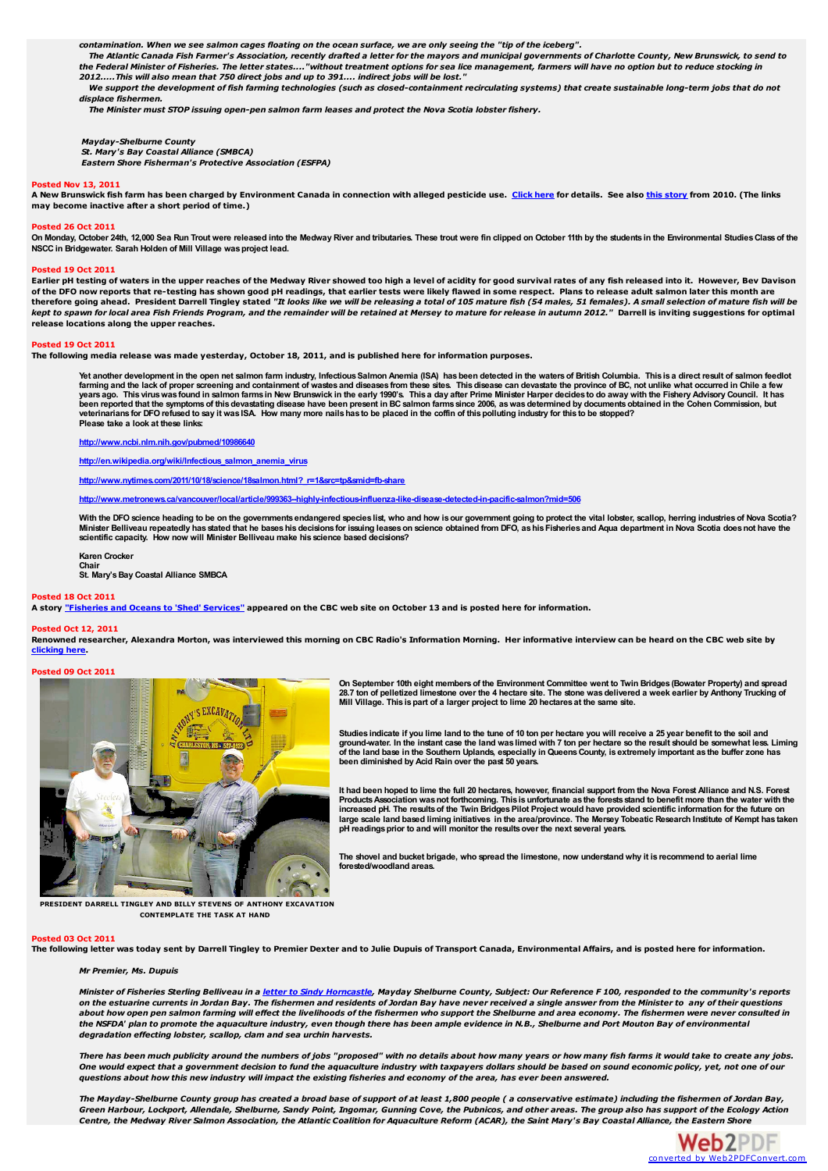contamination. When we see salmon cages floating on the ocean surface, we are only seeing the "tip of the iceberg".

The Atlantic Canada Fish Farmer's Association, recently drafted a letter for the mayors and municipal governments of Charlotte County, New Brunswick, to send to<br>the Federal Minister of Fisheries. The letter states...."with *2012.....This will also mean that 750 direct jobs and up to 391.... indirect jobs will be lost."*

We support the development of fish farming technologies (such as closed-containment recirculating systems) that create sustainable long-term jobs that do not *displace fishermen.*

*The Minister must STOP issuing open-pen salmon farm leases and protect the Nova Scotia lobster fishery.*

# *Mayday-Shelburne County St. Mary's Bay Coastal Alliance (SMBCA)*

*Eastern Shore Fisherman's Protective Association (ESFPA)*

#### **Posted Nov 13, 2011**

A New Brunswick fish farm has been charged by Environment Canada in connection with alleged pesticide use. [Click](http://www.cbc.ca/news/canada/new-brunswick/story/2011/11/02/nb-company-charged-in-lobster-death.html) here for details. See also this [story](http://www.cbc.ca/news/canada/new-brunswick/story/2010/09/29/nb-lobster-fundy-cypermethrin-557.html) from 2010. (The links **may become inactive after a short period of time.)**

#### **Posted 26 Oct 2011**

On Monday, October 24th, 12,000 Sea Run Trout were released into the Medway River and tributaries. These trout were fin clipped on October 11th by the students in the Environmental Studies Class of the **NSCC in Bridgewater. Sarah Holden of Mill Village wasproject lead.**

#### **Posted 19 Oct 2011**

Earlier pH testing of waters in the upper reaches of the Medway River showed too high a level of acidity for good survival rates of any fish released into it. However, Bev Davison of the DFO now reports that re-testing has shown good pH readings, that earlier tests were likely flawed in some respect. Plans to release adult salmon later this month are<br>therefore going ahead. President Darrell Tingley kept to spawn for local area Fish Friends Program, and the remainder will be retained at Mersey to mature for release in autumn 2012." Darrell is inviting suggestions for optimal **release locations along the upper reaches.**

#### **Posted 19 Oct 2011**

The following media release was made yesterday, October 18, 2011, and is published here for information purposes.

Yet another development in the open net salmon farm industry, Infectious Salmon Anemia (ISA) has been detected in the waters of British Columbia. This is a direct result of salmon feedlot farming and the lack of proper screening and containment of wastes and disease from these sites. This disease can devastate the province of BC, not unlike what occurred in Chile a few<br>years ago. This virus was found in sal been reported that the symptoms of this devastating disease have been present in BC salmon farms since 2006, as was determined by documents obtained in the Cohen Commission, but<br>veterinarians for DFO refused to say it was

**<http://www.ncbi.nlm.nih.gov/pubmed/10986640>**

**[http://en.wikipedia.org/wiki/Infectious\\_salmon\\_anemia\\_virus](http://en.wikipedia.org/wiki/Infectious_salmon_anemia_virus)**

**[http://www.nytimes.com/2011/10/18/science/18salmon.html?\\_r=1&src=tp&smid=fb-share](http://www.nytimes.com/2011/10/18/science/18salmon.html?_r=1&src=tp&smid=fb-share)**

**<http://www.metronews.ca/vancouver/local/article/999363--highly-infectious-influenza-like-disease-detected-in-pacific-salmon?mid=506>**

With the DFO science heading to be on the governments endangered species list, who and how is our government going to protect the vital lobster, scallop, herring industries of Nova Scotia?<br>Minister Belliveau repeatedly has **scientific capacity. How now will Minister Belliveau make his science based decisions?**

**Karen Crocker Chair St. Mary'sBay Coastal Alliance SMBCA**

#### **Posted 18 Oct 2011**

A story ["Fisheries](http://www.cbc.ca/news/canada/nova-scotia/story/2011/10/13/nl-dfo-shedding-services-1013.html) and Oceans to 'Shed' Services" appeared on the CBC web site on October 13 and is posted here for information.

# **Posted Oct 12, 2011**

Renowned researcher, Alexandra Morton, was interviewed this morning on CBC Radio's Information Morning. Her informative interview can be heard on the CBC web site by **[clicking](http://www.cbc.ca/informationmorningns/2011/10/12/a-link-between-farmed-salmon-and-sick-wild-salmon/) here.**

#### **Posted 09 Oct 2011**



**On September 10th eight membersof the Environment Committee went to Twin Bridges (Bowater Property) and spread** 28.7 ton of pelletized limestone over the 4 hectare site. The stone was delivered a week earlier by Anthony Trucking of<br>Mill Village. This is part of a larger project to lime 20 hectares at the same site.

Studies indicate if you lime land to the tune of 10 ton per hectare you will receive a 25 year benefit to the soil and<br>ground-water. In the instant case the land was limed with 7 ton per hectare so the result should be som of the land base in the Southern Uplands, especially in Queens County, is extremely important as the buffer zone has<br>been diminished by Acid Rain over the past 50 years.

It had been hoped to lime the full 20 hectares, however, financial support from the Nova Forest Alliance and N.S. Forest<br>Products Association was not forthcoming. This is unfortunate as the forests stand to benefit more th increased pH. The results of the Twin Bridges Pilot Project would have provided scientific information for the future on<br>Iarge scale land based liming initiatives in the area/province. The Mersey Tobeatic Research Institu **pH readingsprior to and will monitor the resultsover the next several years.**

The shovel and bucket brigade, who spread the limestone, now understand why it is recommend to aerial lime **forested/woodland areas.**

**PRESIDENT DARRELL TINGLEY AND BILLY STEVENS OF ANTHONY EXCAVATION CONTEMPLATE THE TASK AT HAND**

#### **Posted 03 Oct 2011**

The following letter was today sent by Darrell Tingley to Premier Dexter and to Julie Dupuis of Transport Canada, Environmental Affairs, and is posted here for information.

### *Mr Premier, Ms. Dupuis*

Minister of Fisheries Sterling Belliveau in a letter to Sindy [Horncastle](http://medwayriversalmonassociation.org/presidentsnews/03Oct2011.pdf), Mayday Shelburne County, Subject: Our Reference F100, responded to the community's reports on the estuarine currents in Jordan Bay. The fishermen and residents of Jordan Bay have never received a single answer from the Minister to any of their questions about how open pen salmon farming will effect the livelihoods of the fishermen who support the Shelburne and area economy. The fishermen were never consulted in the NSFDA' plan to promote the aquaculture industry, even though there has been ample evidence in N.B., Shelburne and Port Mouton Bav of environmental *degradation effecting lobster, scallop, clam and sea urchin harvests.*

There has been much publicity around the numbers of jobs "proposed" with no details about how many years or how many fish farms it would take to create any jobs. One would expect that a government decision to fund the aquaculture industry with taxpayers dollars should be based on sound economic policy, yet, not one of our questions about how this new industry will impact the existing fisheries and economy of the area, has ever been answered.

The Mayday-Shelburne County group has created a broad base of support of at least 1,800 people (a conservative estimate) including the fishermen of Jordan Bay, Green Harbour, Lockport, Allendale, Shelburne, Sandy Point, Ingomar, Gunning Cove, the Pubnicos, and other areas. The group also has support of the Ecology Action Centre, the Medway River Salmon Association, the Atlantic Coalition for Aquaculture Reform (ACAR), the Saint Mary's Bay Coastal Alliance, the Eastern Shore

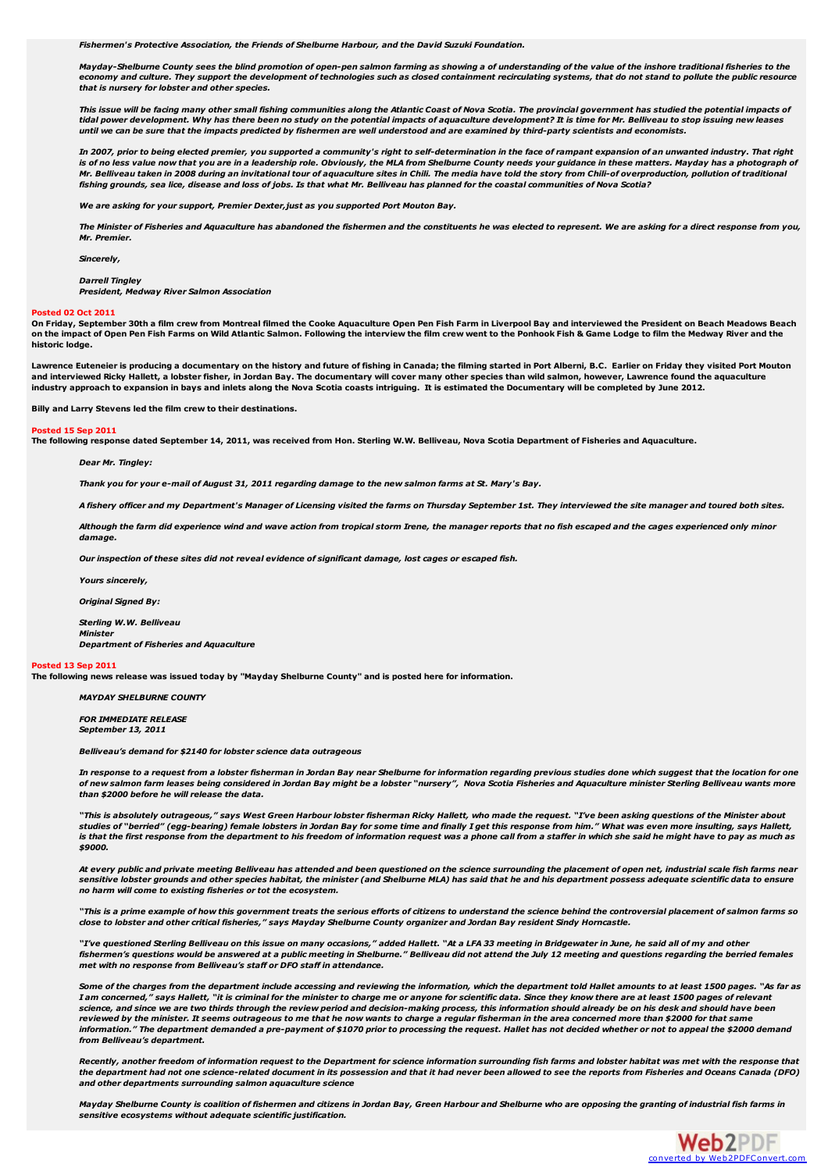*Fishermen's Protective Association, the Friends of Shelburne Harbour, and the David Suzuki Foundation.*

Mayday-Shelburne County sees the blind promotion of open-pen salmon farming as showing a of understanding of the value of the inshore traditional fisheries to the nomy and culture. They support the development of technologies such as closed containment recirculating systems, that do not stand to pollute the public resource *that is nursery for lobster and other species.*

This issue will be facing many other small fishing communities along the Atlantic Coast of Nova Scotia. The provincial government has studied the potential impacts of tidal power development. Why has there been no study on the potential impacts of aquaculture development? It is time for Mr. Belliveau to stop issuing new leases until we can be sure that the impacts predicted by fishermen are well understood and are examined by third-party scientists and economists.

In 2007, prior to being elected premier, you supported a community's right to self-determination in the face of rampant expansion of an unwanted industry. That right is of no less value now that you are in a leadership role. Obviously, the MLA from Shelburne County needs your guidance in these matters. Mayday has a photograph of Mr. Belliveau taken in 2008 during an invitational tour of aquaculture sites in Chili. The media have told the story from Chili-of overproduction, pollution of traditional fishing grounds, sea lice, disease and loss of iobs. Is that what Mr. Belliveau has planned for the coastal communities of Nova Scotia?

*We are asking for your support, Premier Dexter,just as you supported Port Mouton Bay.*

The Minister of Fisheries and Aquaculture has abandoned the fishermen and the constituents he was elected to represent. We are asking for a direct response from you, *Mr. Premier.*

*Sincerely,*

*Darrell Tingley*

*President, Medway River Salmon Association*

#### **Posted 02 Oct 2011**

On Friday, September 30th a film crew from Montreal filmed the Cooke Aquaculture Open Pen Fish Farm in Liverpool Bay and interviewed the President on Beach Meadows Beach on the impact of Open Pen Fish Farms on Wild Atlantic Salmon. Following the interview the film crew went to the Ponhook Fish & Game Lodge to film the Medway River and the **historic lodge.**

Lawrence Euteneier is producing a documentary on the history and future of fishing in Canada; the filming started in Port Alberni, B.C. Earlier on Friday they visited Port Mouton and interviewed Ricky Hallett, a lobster fisher, in Jordan Bay. The documentary will cover many other species than wild salmon, however, Lawrence found the aquaculture industry approach to expansion in bays and inlets along the Nova Scotia coasts intriguing. It is estimated the Documentary will be completed by June 2012.

**Billy and Larry Stevens led the film crew to their destinations.**

#### **Posted 15 Sep 2011**

The following response dated September 14, 2011, was received from Hon. Sterling W.W. Belliveau, Nova Scotia Department of Fisheries and Aquaculture.

*Dear Mr. Tingley:*

Thank you for your e-mail of August 31, 2011 regarding damage to the new salmon farms at St. Mary's Bay.

A fishery officer and my Department's Manager of Licensing visited the farms on Thursday September 1st. They interviewed the site manager and toured both sites.

Although the farm did experience wind and wave action from tropical storm Irene, the manager reports that no fish escaped and the cages experienced only minor *damage.*

*Our inspection of these sites did not reveal evidence of significant damage, lost cages or escaped fish.*

*Yours sincerely,*

*Original Signed By:*

*Sterling W.W. Belliveau*

*Minister Department of Fisheries and Aquaculture*

#### **Posted 13 Sep 2011**

The following news release was issued today by "Mayday Shelburne County" and is posted here for information.

*MAYDAY SHELBURNE COUNTY*

*FOR IMMEDIATE RELEASE September 13, 2011*

*Belliveau's demand for \$2140 for lobster science data outrageous*

In response to a request from a lobster fisherman in Jordan Bay near Shelburne for information regarding previous studies done which suggest that the location for one of new salmon farm leases being considered in Jordan Bay might be a lobster "nursery", Nova Scotia Fisheries and Aquaculture minister Sterling Belliveau wants more *than \$2000 before he will release the data.*

"This is absolutely outrageous," says West Green Harbour lobster fisherman Ricky Hallett, who made the request. "I've been asking questions of the Minister about studies of "berried" (egg-bearing) female lobsters in Jordan Bay for some time and finally I get this response from him." What was even more insulting, says Hallett,<br>is that the first response from the department to his fr *\$9000.*

At every public and private meeting Belliveau has attended and been questioned on the science surrounding the placement of open net, industrial scale fish farms near sensitive lobster grounds and other species habitat, the minister (and Shelburne MLA) has said that he and his department possess adequate scientific data to ensure *no harm will come to existing fisheries or tot the ecosystem.*

"This is a prime example of how this government treats the serious efforts of citizens to understand the science behind the controversial placement of salmon farms so close to lobster and other critical fisheries," says Mayday Shelburne County organizer and Jordan Bay resident Sindy Horncastle.

"I've questioned Sterling Belliveau on this issue on many occasions," added Hallett. "At a LFA 33 meeting in Bridgewater in June, he said all of my and other fishermen's questions would be answered at a public meeting in Shelburne." Belliveau did not attend the July 12 meeting and questions regarding the berried females *met with no response from Belliveau's staff or DFO staff in attendance.*

Some of the charges from the department include accessing and reviewing the information, which the department told Hallet amounts to at least 1500 pages. "As far as<br>I am concerned," says Hallett, "it is criminal for the mi science, and since we are two thirds through the review period and decision-making process, this information should already be on his desk and should have been reviewed by the minister. It seems outrageous to me that he now wants to charge a regular fisherman in the area concerned more than \$2000 for that same information." The department demanded a pre-payment of \$1070 prior to processing the request. Hallet has not decided whether or not to appeal the \$2000 demand *from Belliveau's department.*

Recently, another freedom of information request to the Department for science information surrounding fish farms and lobster habitat was met with the response that the department had not one science-related document in its possession and that it had never been allowed to see the reports from Fisheries and Oceans Canada (DFO) *and other departments surrounding salmon aquaculture science*

Mayday Shelburne County is coalition of fishermen and citizens in Jordan Bay, Green Harbour and Shelburne who are opposing the granting of industrial fish farms in *sensitive ecosystems without adequate scientific justification.*